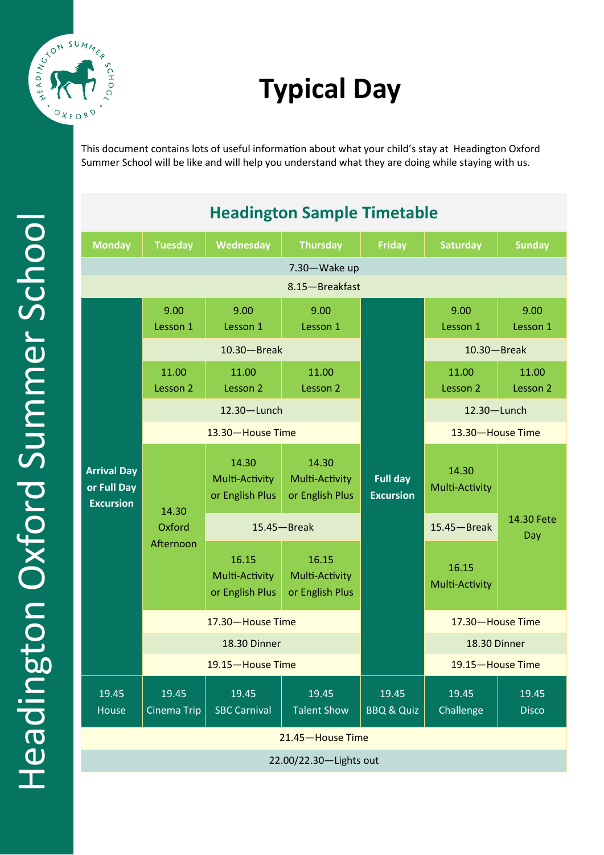

# **Typical Day**

This document contains lots of useful information about what your child's stay at Headington Oxford Summer School will be like and will help you understand what they are doing while staying with us.

| <b>Headington Sample Timetable</b>                    |                              |                                            |                                            |                                     |                         |                       |
|-------------------------------------------------------|------------------------------|--------------------------------------------|--------------------------------------------|-------------------------------------|-------------------------|-----------------------|
| <b>Monday</b>                                         | <b>Tuesday</b>               | Wednesday                                  | <b>Thursday</b>                            | <b>Friday</b>                       | <b>Saturday</b>         | <b>Sunday</b>         |
| 7.30-Wake up                                          |                              |                                            |                                            |                                     |                         |                       |
| 8.15-Breakfast                                        |                              |                                            |                                            |                                     |                         |                       |
| <b>Arrival Day</b><br>or Full Day<br><b>Excursion</b> | 9.00<br>Lesson 1             | 9.00<br>Lesson 1                           | 9.00<br>Lesson 1                           |                                     | 9.00<br>Lesson 1        | 9.00<br>Lesson 1      |
|                                                       | $10.30 - B$ reak             |                                            |                                            |                                     | $10.30 -$ Break         |                       |
|                                                       | 11.00<br>Lesson 2            | 11.00<br>Lesson 2                          | 11.00<br>Lesson 2                          |                                     | 11.00<br>Lesson 2       | 11.00<br>Lesson 2     |
|                                                       | 12.30-Lunch                  |                                            |                                            |                                     | 12.30-Lunch             |                       |
|                                                       | 13.30-House Time             |                                            |                                            |                                     | 13.30-House Time        |                       |
|                                                       | 14.30<br>Oxford<br>Afternoon | 14.30<br>Multi-Activity<br>or English Plus | 14.30<br>Multi-Activity<br>or English Plus | <b>Full day</b><br><b>Excursion</b> | 14.30<br>Multi-Activity |                       |
|                                                       |                              | $15.45 - B$ reak                           |                                            |                                     | $15.45 - B$ reak        | 14.30 Fete<br>Day     |
|                                                       |                              | 16.15<br>Multi-Activity<br>or English Plus | 16.15<br>Multi-Activity<br>or English Plus |                                     | 16.15<br>Multi-Activity |                       |
|                                                       | 17.30-House Time             |                                            |                                            |                                     | 17.30-House Time        |                       |
|                                                       | 18.30 Dinner                 |                                            |                                            |                                     | 18.30 Dinner            |                       |
|                                                       | 19.15-House Time             |                                            |                                            |                                     | 19.15-House Time        |                       |
| 19.45<br>House                                        | 19.45<br>Cinema Trip         | 19.45<br><b>SBC Carnival</b>               | 19.45<br><b>Talent Show</b>                | 19.45<br><b>BBQ &amp; Quiz</b>      | 19.45<br>Challenge      | 19.45<br><b>Disco</b> |
| 21.45-House Time                                      |                              |                                            |                                            |                                     |                         |                       |
| 22.00/22.30-Lights out                                |                              |                                            |                                            |                                     |                         |                       |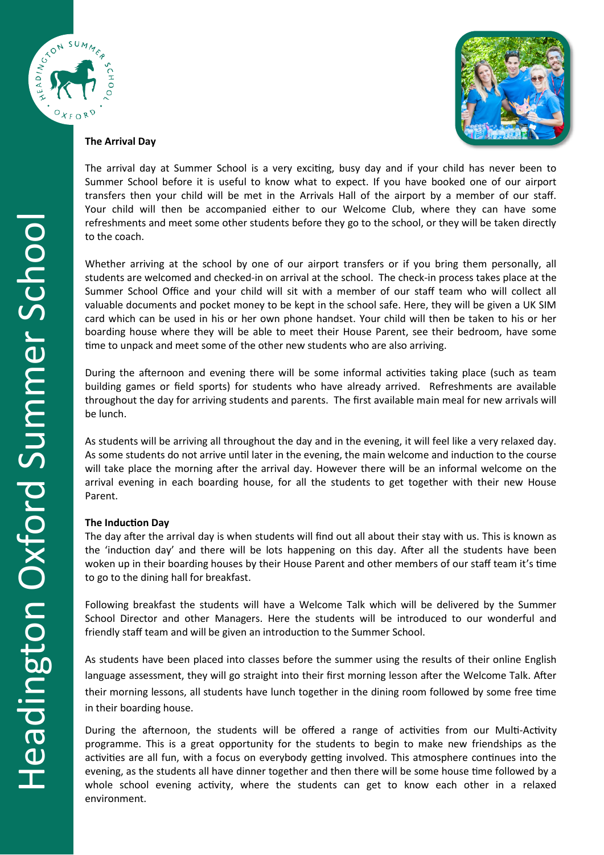



## **The Arrival Day**

The arrival day at Summer School is a very exciting, busy day and if your child has never been to Summer School before it is useful to know what to expect. If you have booked one of our airport transfers then your child will be met in the Arrivals Hall of the airport by a member of our staff. Your child will then be accompanied either to our Welcome Club, where they can have some refreshments and meet some other students before they go to the school, or they will be taken directly to the coach.

Whether arriving at the school by one of our airport transfers or if you bring them personally, all students are welcomed and checked-in on arrival at the school. The check-in process takes place at the Summer School Office and your child will sit with a member of our staff team who will collect all valuable documents and pocket money to be kept in the school safe. Here, they will be given a UK SIM card which can be used in his or her own phone handset. Your child will then be taken to his or her boarding house where they will be able to meet their House Parent, see their bedroom, have some time to unpack and meet some of the other new students who are also arriving.

During the afternoon and evening there will be some informal activities taking place (such as team building games or field sports) for students who have already arrived. Refreshments are available throughout the day for arriving students and parents. The first available main meal for new arrivals will be lunch.

As students will be arriving all throughout the day and in the evening, it will feel like a very relaxed day. As some students do not arrive until later in the evening, the main welcome and induction to the course will take place the morning after the arrival day. However there will be an informal welcome on the arrival evening in each boarding house, for all the students to get together with their new House Parent.

# **The Induction Day**

The day after the arrival day is when students will find out all about their stay with us. This is known as the 'induction day' and there will be lots happening on this day. After all the students have been woken up in their boarding houses by their House Parent and other members of our staff team it's time to go to the dining hall for breakfast.

Following breakfast the students will have a Welcome Talk which will be delivered by the Summer School Director and other Managers. Here the students will be introduced to our wonderful and friendly staff team and will be given an introduction to the Summer School.

As students have been placed into classes before the summer using the results of their online English language assessment, they will go straight into their first morning lesson after the Welcome Talk. After their morning lessons, all students have lunch together in the dining room followed by some free time in their boarding house.

During the afternoon, the students will be offered a range of activities from our Multi-Activity programme. This is a great opportunity for the students to begin to make new friendships as the activities are all fun, with a focus on everybody getting involved. This atmosphere continues into the evening, as the students all have dinner together and then there will be some house time followed by a whole school evening activity, where the students can get to know each other in a relaxed environment.